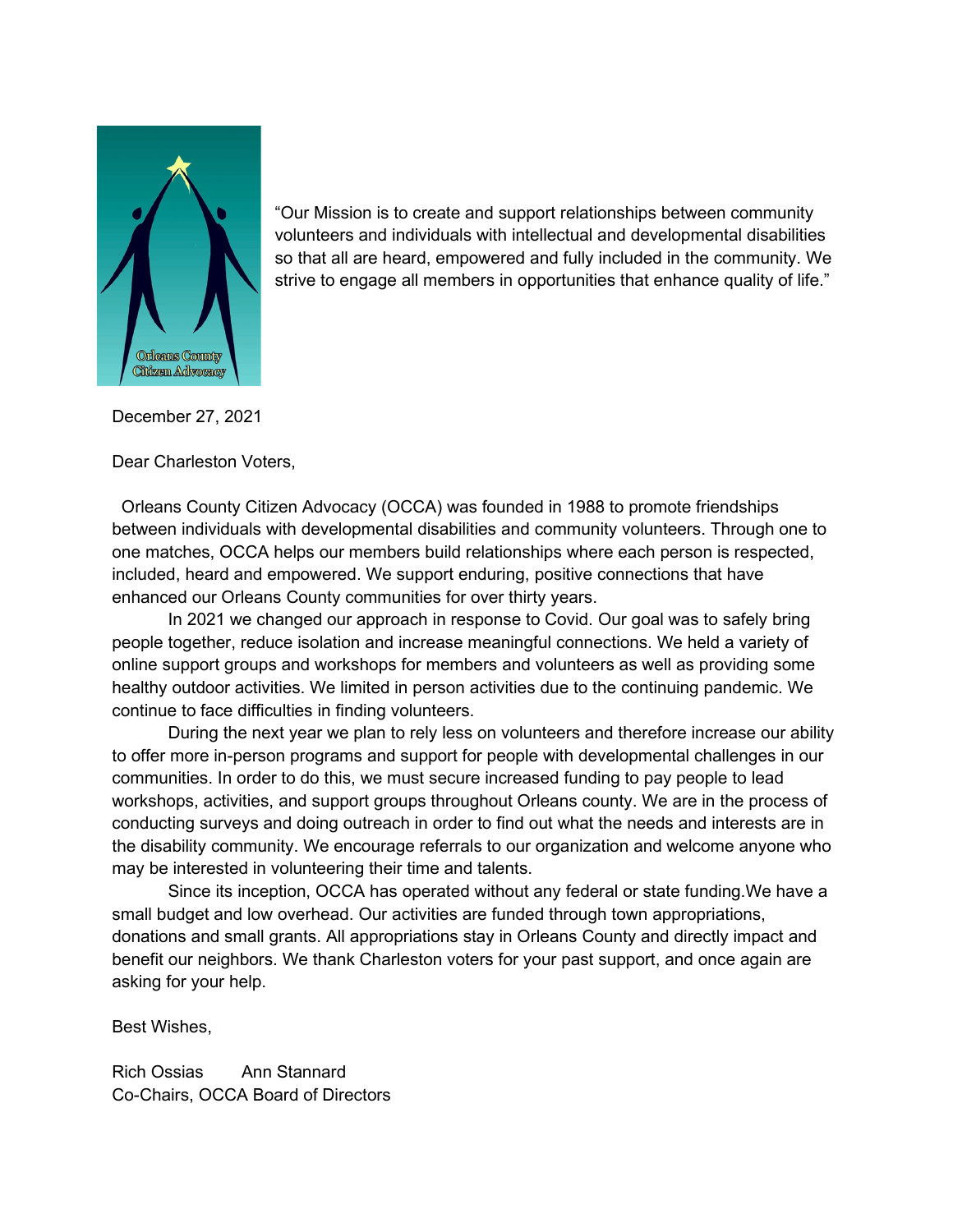

"Our Mission is to create and support relationships between community volunteers and individuals with intellectual and developmental disabilities so that all are heard, empowered and fully included in the community. We strive to engage all members in opportunities that enhance quality of life."

December 27, 2021

Dear Charleston Voters,

 Orleans County Citizen Advocacy (OCCA) was founded in 1988 to promote friendships between individuals with developmental disabilities and community volunteers. Through one to one matches, OCCA helps our members build relationships where each person is respected, included, heard and empowered. We support enduring, positive connections that have enhanced our Orleans County communities for over thirty years.

In 2021 we changed our approach in response to Covid. Our goal was to safely bring people together, reduce isolation and increase meaningful connections. We held a variety of online support groups and workshops for members and volunteers as well as providing some healthy outdoor activities. We limited in person activities due to the continuing pandemic. We continue to face difficulties in finding volunteers.

During the next year we plan to rely less on volunteers and therefore increase our ability to offer more in-person programs and support for people with developmental challenges in our communities. In order to do this, we must secure increased funding to pay people to lead workshops, activities, and support groups throughout Orleans county. We are in the process of conducting surveys and doing outreach in order to find out what the needs and interests are in the disability community. We encourage referrals to our organization and welcome anyone who may be interested in volunteering their time and talents.

Since its inception, OCCA has operated without any federal or state funding.We have a small budget and low overhead. Our activities are funded through town appropriations, donations and small grants. All appropriations stay in Orleans County and directly impact and benefit our neighbors. We thank Charleston voters for your past support, and once again are asking for your help.

Best Wishes,

Rich Ossias Ann Stannard Co-Chairs, OCCA Board of Directors